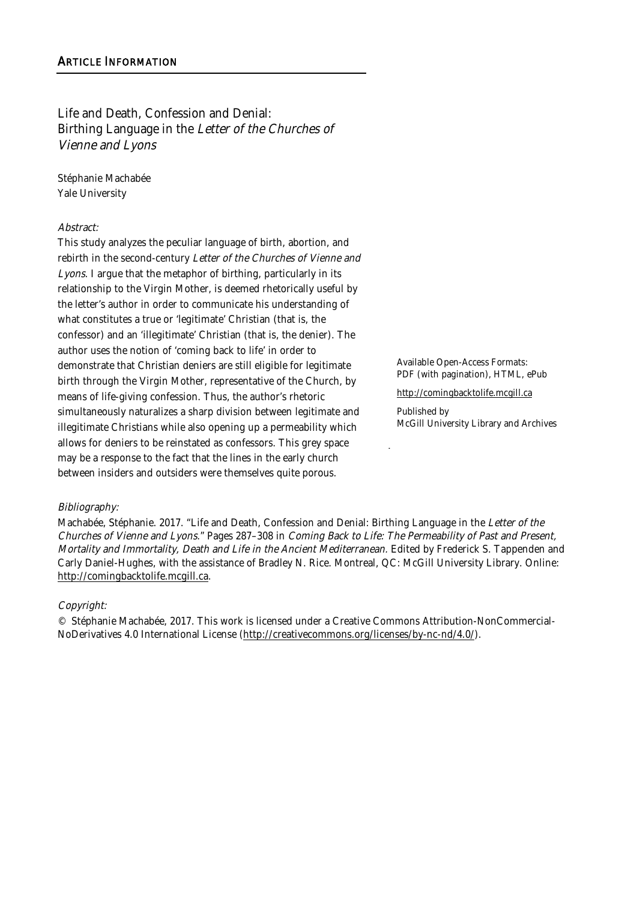Life and Death, Confession and Denial: Birthing Language in the Letter of the Churches of Vienne and Lyons

Stéphanie Machabée Yale University

#### Abstract:

This study analyzes the peculiar language of birth, abortion, and rebirth in the second-century Letter of the Churches of Vienne and Lyons. I argue that the metaphor of birthing, particularly in its relationship to the Virgin Mother, is deemed rhetorically useful by the letter's author in order to communicate his understanding of what constitutes a true or 'legitimate' Christian (that is, the confessor) and an 'illegitimate' Christian (that is, the denier). The author uses the notion of 'coming back to life' in order to demonstrate that Christian deniers are still eligible for legitimate birth through the Virgin Mother, representative of the Church, by means of life-giving confession. Thus, the author's rhetoric simultaneously naturalizes a sharp division between legitimate and illegitimate Christians while also opening up a permeability which allows for deniers to be reinstated as confessors. This grey space may be a response to the fact that the lines in the early church between insiders and outsiders were themselves quite porous.

Available Open-Access Formats: PDF (with pagination), HTML, ePub

http://comingbacktolife.mcgill.ca

Published by McGill University Library and Archives

#### Bibliography:

Machabée, Stéphanie. 2017. "Life and Death, Confession and Denial: Birthing Language in the Letter of the Churches of Vienne and Lyons." Pages 287–308 in Coming Back to Life: The Permeability of Past and Present, Mortality and Immortality, Death and Life in the Ancient Mediterranean. Edited by Frederick S. Tappenden and Carly Daniel-Hughes, with the assistance of Bradley N. Rice. Montreal, QC: McGill University Library. Online: http://comingbacktolife.mcgill.ca.

#### Copyright:

© Stéphanie Machabée, 2017. This work is licensed under a Creative Commons Attribution-NonCommercial-NoDerivatives 4.0 International License (http://creativecommons.org/licenses/by-nc-nd/4.0/).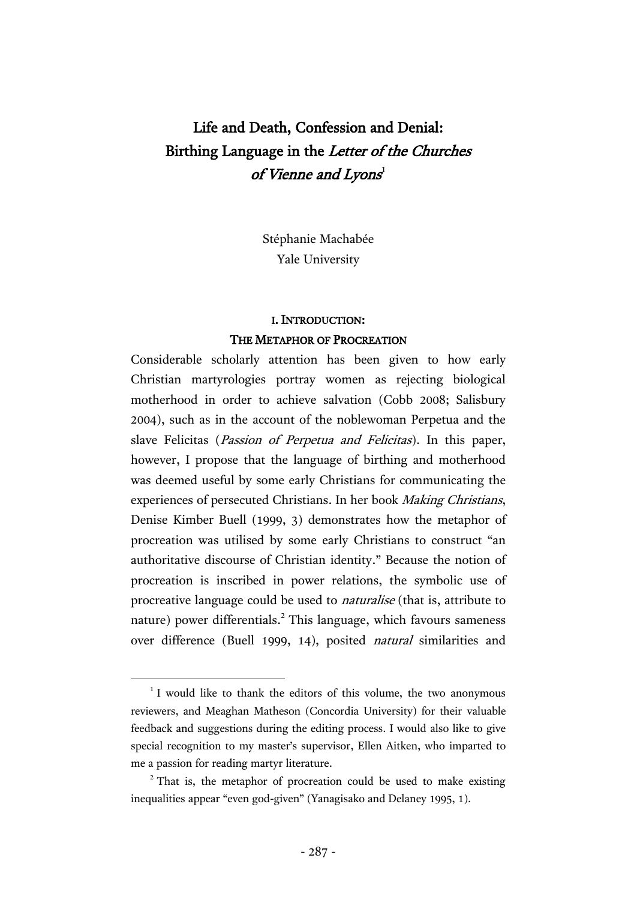# Life and Death, Confession and Denial: Birthing Language in the Letter of the Churches of Vienne and Lyons $^{\rm l}$

Stéphanie Machabée Yale University

# I. INTRODUCTION: THE METAPHOR OF PROCREATION

Considerable scholarly attention has been given to how early Christian martyrologies portray women as rejecting biological motherhood in order to achieve salvation (Cobb 2008; Salisbury 2004), such as in the account of the noblewoman Perpetua and the slave Felicitas (Passion of Perpetua and Felicitas). In this paper, however, I propose that the language of birthing and motherhood was deemed useful by some early Christians for communicating the experiences of persecuted Christians. In her book Making Christians, Denise Kimber Buell (1999, 3) demonstrates how the metaphor of procreation was utilised by some early Christians to construct "an authoritative discourse of Christian identity." Because the notion of procreation is inscribed in power relations, the symbolic use of procreative language could be used to naturalise (that is, attribute to nature) power differentials. <sup>2</sup> This language, which favours sameness over difference (Buell 1999, 14), posited natural similarities and

<sup>&</sup>lt;sup>1</sup> I would like to thank the editors of this volume, the two anonymous reviewers, and Meaghan Matheson (Concordia University) for their valuable feedback and suggestions during the editing process. I would also like to give special recognition to my master's supervisor, Ellen Aitken, who imparted to me a passion for reading martyr literature.

 $2$ <sup>2</sup> That is, the metaphor of procreation could be used to make existing inequalities appear "even god-given" (Yanagisako and Delaney 1995, 1).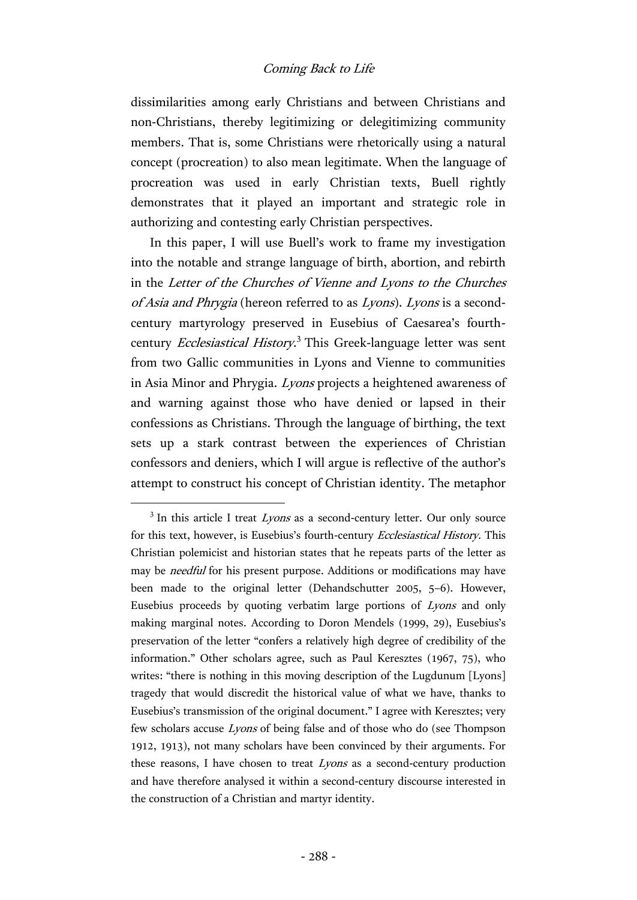dissimilarities among early Christians and between Christians and non-Christians, thereby legitimizing or delegitimizing community members. That is, some Christians were rhetorically using a natural concept (procreation) to also mean legitimate. When the language of procreation was used in early Christian texts, Buell rightly demonstrates that it played an important and strategic role in authorizing and contesting early Christian perspectives.

In this paper, I will use Buell's work to frame my investigation into the notable and strange language of birth, abortion, and rebirth in the Letter of the Churches of Vienne and Lyons to the Churches of Asia and Phrygia (hereon referred to as Lyons). Lyons is a secondcentury martyrology preserved in Eusebius of Caesarea's fourthcentury Ecclesiastical History.<sup>3</sup> This Greek-language letter was sent from two Gallic communities in Lyons and Vienne to communities in Asia Minor and Phrygia. Lyons projects a heightened awareness of and warning against those who have denied or lapsed in their confessions as Christians. Through the language of birthing, the text sets up a stark contrast between the experiences of Christian confessors and deniers, which I will argue is reflective of the author's attempt to construct his concept of Christian identity. The metaphor

 $3$  In this article I treat *Lyons* as a second-century letter. Our only source for this text, however, is Eusebius's fourth-century Ecclesiastical History. This Christian polemicist and historian states that he repeats parts of the letter as may be *needful* for his present purpose. Additions or modifications may have been made to the original letter (Dehandschutter 2005, 5–6). However, Eusebius proceeds by quoting verbatim large portions of Lyons and only making marginal notes. According to Doron Mendels (1999, 29), Eusebius's preservation of the letter "confers a relatively high degree of credibility of the information." Other scholars agree, such as Paul Keresztes (1967, 75), who writes: "there is nothing in this moving description of the Lugdunum [Lyons] tragedy that would discredit the historical value of what we have, thanks to Eusebius's transmission of the original document." I agree with Keresztes; very few scholars accuse Lyons of being false and of those who do (see Thompson 1912, 1913), not many scholars have been convinced by their arguments. For these reasons, I have chosen to treat Lyons as a second-century production and have therefore analysed it within a second-century discourse interested in the construction of a Christian and martyr identity.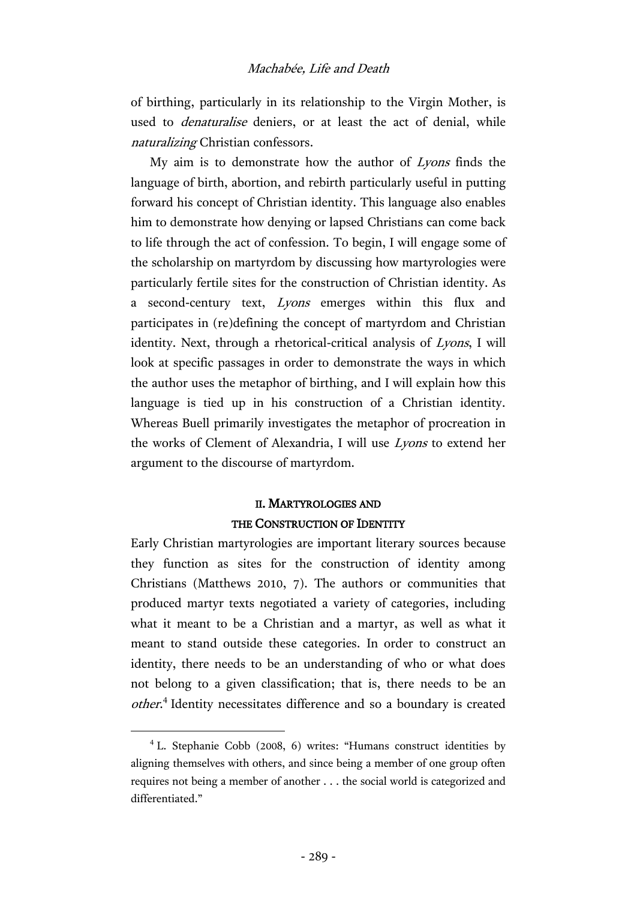of birthing, particularly in its relationship to the Virgin Mother, is used to denaturalise deniers, or at least the act of denial, while naturalizing Christian confessors.

My aim is to demonstrate how the author of Lyons finds the language of birth, abortion, and rebirth particularly useful in putting forward his concept of Christian identity. This language also enables him to demonstrate how denying or lapsed Christians can come back to life through the act of confession. To begin, I will engage some of the scholarship on martyrdom by discussing how martyrologies were particularly fertile sites for the construction of Christian identity. As a second-century text, Lyons emerges within this flux and participates in (re)defining the concept of martyrdom and Christian identity. Next, through a rhetorical-critical analysis of Lyons, I will look at specific passages in order to demonstrate the ways in which the author uses the metaphor of birthing, and I will explain how this language is tied up in his construction of a Christian identity. Whereas Buell primarily investigates the metaphor of procreation in the works of Clement of Alexandria, I will use Lyons to extend her argument to the discourse of martyrdom.

# II. MARTYROLOGIES AND THE CONSTRUCTION OF IDENTITY

Early Christian martyrologies are important literary sources because they function as sites for the construction of identity among Christians (Matthews 2010, 7). The authors or communities that produced martyr texts negotiated a variety of categories, including what it meant to be a Christian and a martyr, as well as what it meant to stand outside these categories. In order to construct an identity, there needs to be an understanding of who or what does not belong to a given classification; that is, there needs to be an other.<sup>4</sup> Identity necessitates difference and so a boundary is created

<sup>&</sup>lt;sup>4</sup> L. Stephanie Cobb (2008, 6) writes: "Humans construct identities by aligning themselves with others, and since being a member of one group often requires not being a member of another . . . the social world is categorized and differentiated."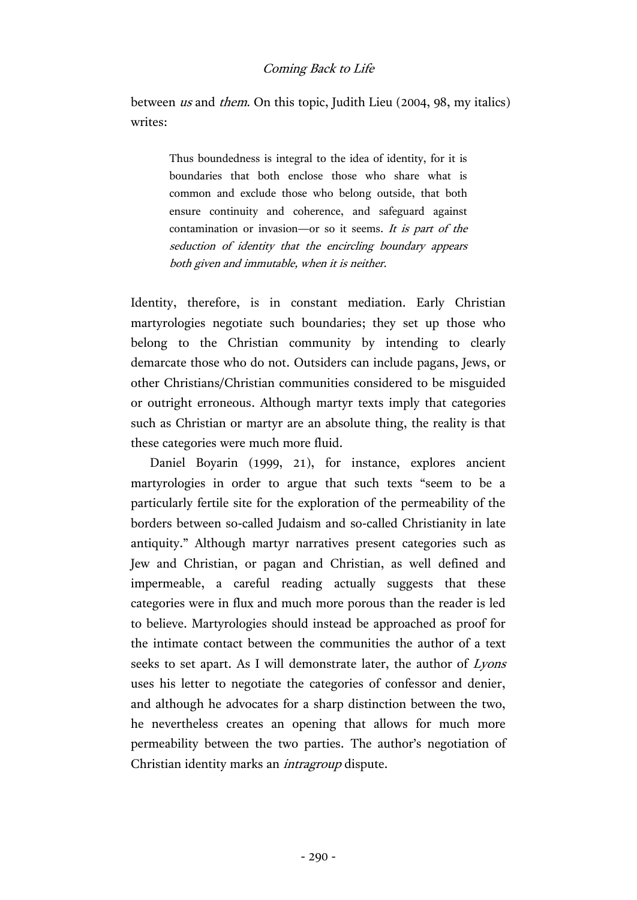between us and them. On this topic, Judith Lieu (2004, 98, my italics) writes:

> Thus boundedness is integral to the idea of identity, for it is boundaries that both enclose those who share what is common and exclude those who belong outside, that both ensure continuity and coherence, and safeguard against contamination or invasion—or so it seems. It is part of the seduction of identity that the encircling boundary appears both given and immutable, when it is neither.

Identity, therefore, is in constant mediation. Early Christian martyrologies negotiate such boundaries; they set up those who belong to the Christian community by intending to clearly demarcate those who do not. Outsiders can include pagans, Jews, or other Christians/Christian communities considered to be misguided or outright erroneous. Although martyr texts imply that categories such as Christian or martyr are an absolute thing, the reality is that these categories were much more fluid.

Daniel Boyarin (1999, 21), for instance, explores ancient martyrologies in order to argue that such texts "seem to be a particularly fertile site for the exploration of the permeability of the borders between so-called Judaism and so-called Christianity in late antiquity." Although martyr narratives present categories such as Jew and Christian, or pagan and Christian, as well defined and impermeable, a careful reading actually suggests that these categories were in flux and much more porous than the reader is led to believe. Martyrologies should instead be approached as proof for the intimate contact between the communities the author of a text seeks to set apart. As I will demonstrate later, the author of Lyons uses his letter to negotiate the categories of confessor and denier, and although he advocates for a sharp distinction between the two, he nevertheless creates an opening that allows for much more permeability between the two parties. The author's negotiation of Christian identity marks an intragroup dispute.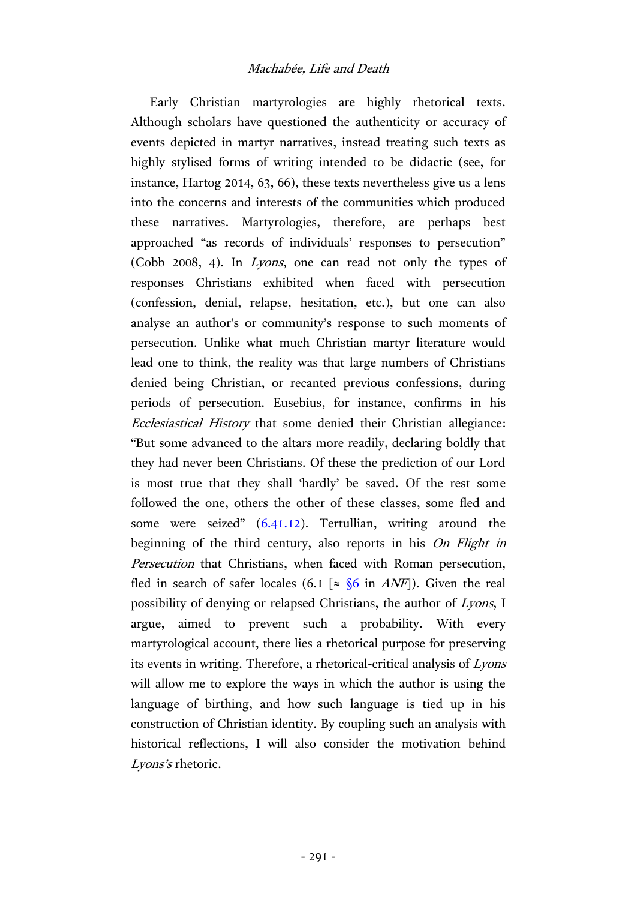# Machabée, Life and Death

Early Christian martyrologies are highly rhetorical texts. Although scholars have questioned the authenticity or accuracy of events depicted in martyr narratives, instead treating such texts as highly stylised forms of writing intended to be didactic (see, for instance, Hartog 2014, 63, 66), these texts nevertheless give us a lens into the concerns and interests of the communities which produced these narratives. Martyrologies, therefore, are perhaps best approached "as records of individuals' responses to persecution" (Cobb 2008, 4). In Lyons, one can read not only the types of responses Christians exhibited when faced with persecution (confession, denial, relapse, hesitation, etc.), but one can also analyse an author's or community's response to such moments of persecution. Unlike what much Christian martyr literature would lead one to think, the reality was that large numbers of Christians denied being Christian, or recanted previous confessions, during periods of persecution. Eusebius, for instance, confirms in his Ecclesiastical History that some denied their Christian allegiance: "But some advanced to the altars more readily, declaring boldly that they had never been Christians. Of these the prediction of our Lord is most true that they shall 'hardly' be saved. Of the rest some followed the one, others the other of these classes, some fled and some were seized" ([6.41.12\)](https://archive.org/stream/ecclesiasticalhi02euseuoft#page/104/mode/2up). Tertullian, writing around the beginning of the third century, also reports in his On Flight in Persecution that Christians, when faced with Roman persecution, fled in search of safer locales (6.1 [ $\approx \frac{\sqrt{6}}{10}$  in ANF]). Given the real possibility of denying or relapsed Christians, the author of Lyons, I argue, aimed to prevent such a probability. With every martyrological account, there lies a rhetorical purpose for preserving its events in writing. Therefore, a rhetorical-critical analysis of Lyons will allow me to explore the ways in which the author is using the language of birthing, and how such language is tied up in his construction of Christian identity. By coupling such an analysis with historical reflections, I will also consider the motivation behind Lyons'<sup>s</sup> rhetoric.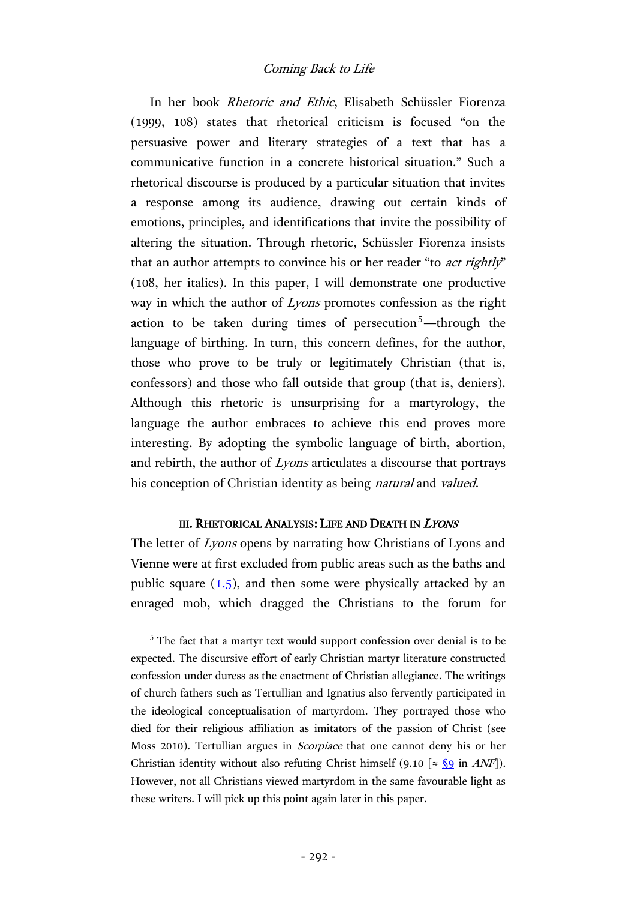In her book Rhetoric and Ethic, Elisabeth Schüssler Fiorenza (1999, 108) states that rhetorical criticism is focused "on the persuasive power and literary strategies of a text that has a communicative function in a concrete historical situation." Such a rhetorical discourse is produced by a particular situation that invites a response among its audience, drawing out certain kinds of emotions, principles, and identifications that invite the possibility of altering the situation. Through rhetoric, Schüssler Fiorenza insists that an author attempts to convince his or her reader "to *act rightly*" (108, her italics). In this paper, I will demonstrate one productive way in which the author of *Lyons* promotes confession as the right action to be taken during times of persecution<sup>5</sup>—through the language of birthing. In turn, this concern defines, for the author, those who prove to be truly or legitimately Christian (that is, confessors) and those who fall outside that group (that is, deniers). Although this rhetoric is unsurprising for a martyrology, the language the author embraces to achieve this end proves more interesting. By adopting the symbolic language of birth, abortion, and rebirth, the author of Lyons articulates a discourse that portrays his conception of Christian identity as being natural and valued.

#### III. RHETORICAL ANALYSIS: LIFE AND DEATH IN LYONS

The letter of Lyons opens by narrating how Christians of Lyons and Vienne were at first excluded from public areas such as the baths and public square  $(1.5)$ , and then some were physically attacked by an enraged mob, which dragged the Christians to the forum for

<sup>&</sup>lt;sup>5</sup> The fact that a martyr text would support confession over denial is to be expected. The discursive effort of early Christian martyr literature constructed confession under duress as the enactment of Christian allegiance. The writings of church fathers such as Tertullian and Ignatius also fervently participated in the ideological conceptualisation of martyrdom. They portrayed those who died for their religious affiliation as imitators of the passion of Christ (see Moss 2010). Tertullian argues in Scorpiace that one cannot deny his or her Christian identity without also refuting Christ himself (9.10 [ $\approx$  [§9](http://hdl.handle.net/2027/njp.32101075296044?urlappend=%3Bseq=652) in *ANF*]). However, not all Christians viewed martyrdom in the same favourable light as these writers. I will pick up this point again later in this paper.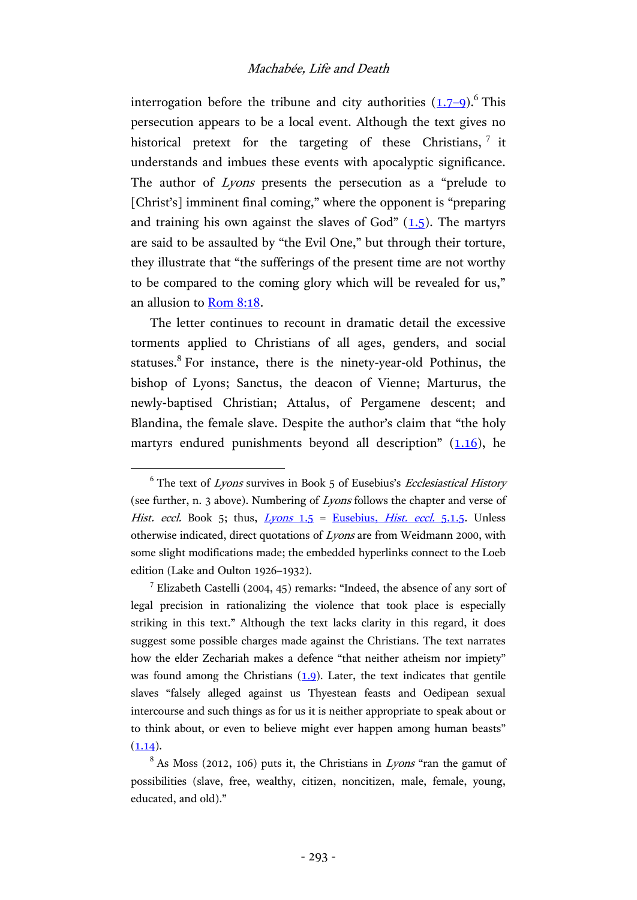interrogation before the tribune and city authorities  $(1.7-9)$  $(1.7-9)$ .<sup>6</sup> This persecution appears to be a local event. Although the text gives no historical pretext for the targeting of these Christians, 7 it understands and imbues these events with apocalyptic significance. The author of *Lyons* presents the persecution as a "prelude to [Christ's] imminent final coming," where the opponent is "preparing" and training his own against the slaves of  $God" (1.5)$  $God" (1.5)$ . The martyrs are said to be assaulted by "the Evil One," but through their torture, they illustrate that "the sufferings of the present time are not worthy to be compared to the coming glory which will be revealed for us," an allusion to [Rom](http://www.academic-bible.com/bible-text/Romans8.18/NA/) 8:18.

The letter continues to recount in dramatic detail the excessive torments applied to Christians of all ages, genders, and social statuses.<sup>8</sup> For instance, there is the ninety-year-old Pothinus, the bishop of Lyons; Sanctus, the deacon of Vienne; Marturus, the newly-baptised Christian; Attalus, of Pergamene descent; and Blandina, the female slave. Despite the author's claim that "the holy martyrs endured punishments beyond all description"  $(1.16)$  $(1.16)$ , he

 $6$  The text of *Lyons* survives in Book 5 of Eusebius's *Ecclesiastical History* (see further, n. 3 above). Numbering of Lyons follows the chapter and verse of Hist. eccl. Book 5; thus,  $Lyons$  1.5 = [Eusebius,](https://archive.org/stream/ecclesiasticalhi01euseuoft#page/408/mode/2up) Hist. eccl. 5.1.5. Unless otherwise indicated, direct quotations of Lyons are from Weidmann 2000, with some slight modifications made; the embedded hyperlinks connect to the Loeb edition (Lake and Oulton 1926–1932).

<sup>&</sup>lt;sup>7</sup> Elizabeth Castelli (2004, 45) remarks: "Indeed, the absence of any sort of legal precision in rationalizing the violence that took place is especially striking in this text." Although the text lacks clarity in this regard, it does suggest some possible charges made against the Christians. The text narrates how the elder Zechariah makes a defence "that neither atheism nor impiety" was found among the Christians  $(1.9)$ . Later, the text indicates that gentile slaves "falsely alleged against us Thyestean feasts and Oedipean sexual intercourse and such things as for us it is neither appropriate to speak about or to think about, or even to believe might ever happen among human beasts"  $(1.14).$  $(1.14).$ 

 $8$  As Moss (2012, 106) puts it, the Christians in *Lyons* "ran the gamut of possibilities (slave, free, wealthy, citizen, noncitizen, male, female, young, educated, and old)."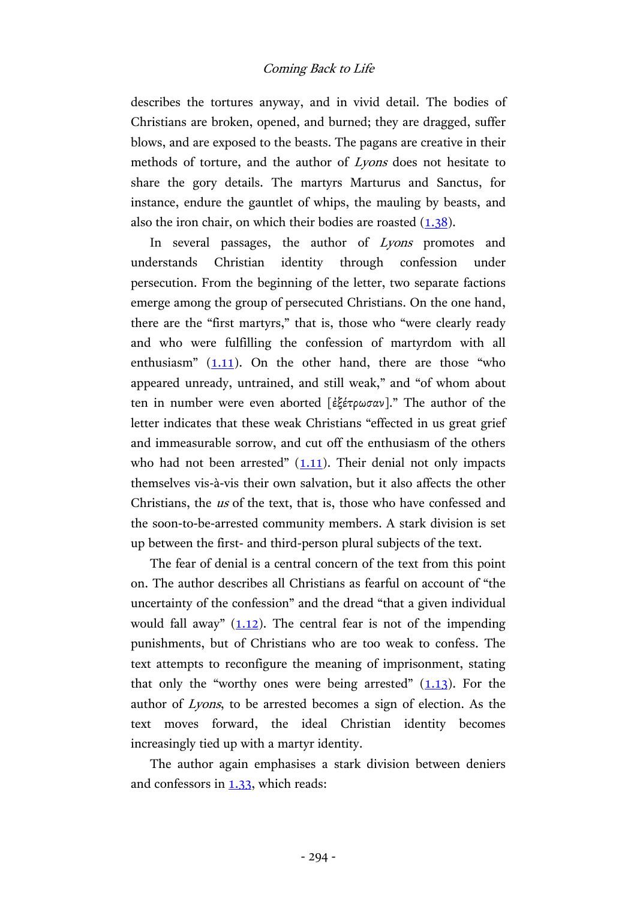describes the tortures anyway, and in vivid detail. The bodies of Christians are broken, opened, and burned; they are dragged, suffer blows, and are exposed to the beasts. The pagans are creative in their methods of torture, and the author of Lyons does not hesitate to share the gory details. The martyrs Marturus and Sanctus, for instance, endure the gauntlet of whips, the mauling by beasts, and also the iron chair, on which their bodies are roasted  $(1.38)$ .

In several passages, the author of Lyons promotes and understands Christian identity through confession under persecution. From the beginning of the letter, two separate factions emerge among the group of persecuted Christians. On the one hand, there are the "first martyrs," that is, those who "were clearly ready and who were fulfilling the confession of martyrdom with all enthusiasm"  $(1.11)$  $(1.11)$  $(1.11)$ . On the other hand, there are those "who appeared unready, untrained, and still weak," and "of whom about ten in number were even aborted [ἐξέτρωσαν]." The author of the letter indicates that these weak Christians "effected in us great grief and immeasurable sorrow, and cut off the enthusiasm of the others who had not been arrested"  $(1.11)$  $(1.11)$ . Their denial not only impacts themselves vis-à-vis their own salvation, but it also affects the other Christians, the us of the text, that is, those who have confessed and the soon-to-be-arrested community members. A stark division is set up between the first- and third-person plural subjects of the text.

The fear of denial is a central concern of the text from this point on. The author describes all Christians as fearful on account of "the uncertainty of the confession" and the dread "that a given individual would fall away"  $(1.12)$ . The central fear is not of the impending punishments, but of Christians who are too weak to confess. The text attempts to reconfigure the meaning of imprisonment, stating that only the "worthy ones were being arrested"  $(1.13)$  $(1.13)$ . For the author of Lyons, to be arrested becomes a sign of election. As the text moves forward, the ideal Christian identity becomes increasingly tied up with a martyr identity.

The author again emphasises a stark division between deniers and confessors in [1.33,](https://archive.org/stream/ecclesiasticalhi01euseuoft#page/422/mode/2up) which reads: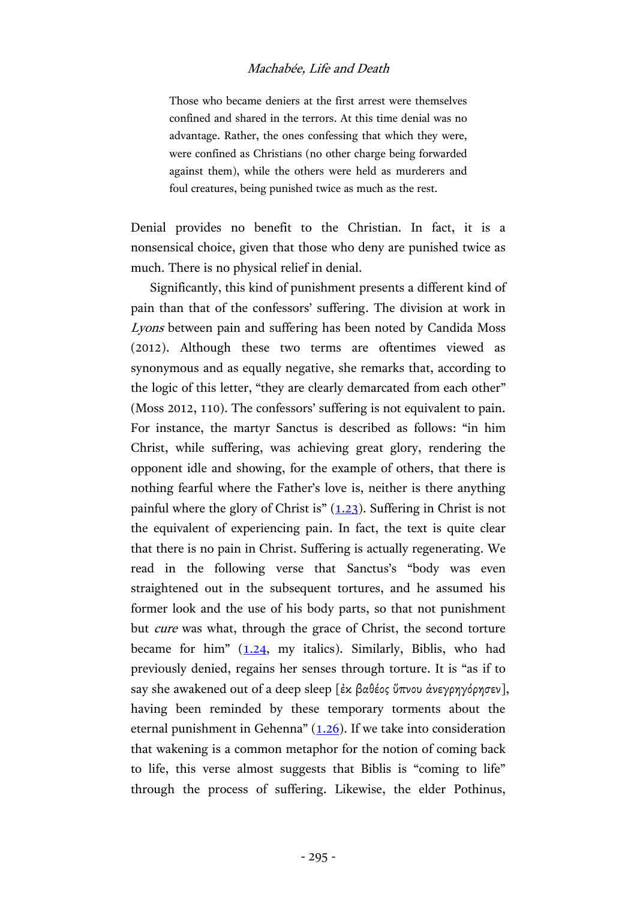#### Machabée, Life and Death

Those who became deniers at the first arrest were themselves confined and shared in the terrors. At this time denial was no advantage. Rather, the ones confessing that which they were, were confined as Christians (no other charge being forwarded against them), while the others were held as murderers and foul creatures, being punished twice as much as the rest.

Denial provides no benefit to the Christian. In fact, it is a nonsensical choice, given that those who deny are punished twice as much. There is no physical relief in denial.

Significantly, this kind of punishment presents a different kind of pain than that of the confessors' suffering. The division at work in Lyons between pain and suffering has been noted by Candida Moss (2012). Although these two terms are oftentimes viewed as synonymous and as equally negative, she remarks that, according to the logic of this letter, "they are clearly demarcated from each other" (Moss 2012, 110). The confessors' suffering is not equivalent to pain. For instance, the martyr Sanctus is described as follows: "in him Christ, while suffering, was achieving great glory, rendering the opponent idle and showing, for the example of others, that there is nothing fearful where the Father's love is, neither is there anything painful where the glory of Christ is"  $(1.23)$ . Suffering in Christ is not the equivalent of experiencing pain. In fact, the text is quite clear that there is no pain in Christ. Suffering is actually regenerating. We read in the following verse that Sanctus's "body was even straightened out in the subsequent tortures, and he assumed his former look and the use of his body parts, so that not punishment but cure was what, through the grace of Christ, the second torture became for him"  $(1.24, \text{my}$  $(1.24, \text{my}$  $(1.24, \text{my}$  italics). Similarly, Biblis, who had previously denied, regains her senses through torture. It is "as if to say she awakened out of a deep sleep [ἐκ βαθέος ὕπνου ἀνεγρηγόρησεν], having been reminded by these temporary torments about the eternal punishment in Gehenna"  $(1.26)$  $(1.26)$ . If we take into consideration that wakening is a common metaphor for the notion of coming back to life, this verse almost suggests that Biblis is "coming to life" through the process of suffering. Likewise, the elder Pothinus,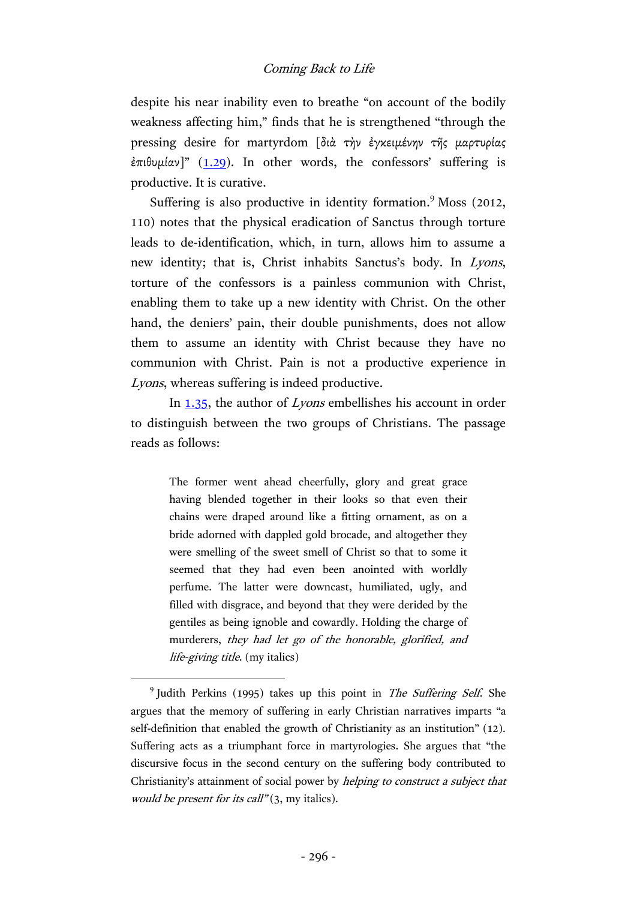despite his near inability even to breathe "on account of the bodily weakness affecting him," finds that he is strengthened "through the pressing desire for martyrdom [διὰ τὴν ἐγκειμένην τῆς μαρτυρίας έπιθυμίαν]" ([1.29\)](https://archive.org/stream/ecclesiasticalhi01euseuoft#page/420/mode/2up). In other words, the confessors' suffering is productive. It is curative.

Suffering is also productive in identity formation.<sup>9</sup> Moss (2012, 110) notes that the physical eradication of Sanctus through torture leads to de-identification, which, in turn, allows him to assume a new identity; that is, Christ inhabits Sanctus's body. In Lyons, torture of the confessors is a painless communion with Christ, enabling them to take up a new identity with Christ. On the other hand, the deniers' pain, their double punishments, does not allow them to assume an identity with Christ because they have no communion with Christ. Pain is not a productive experience in Lyons, whereas suffering is indeed productive.

In  $1.35$ , the author of *Lyons* embellishes his account in order to distinguish between the two groups of Christians. The passage reads as follows:

> The former went ahead cheerfully, glory and great grace having blended together in their looks so that even their chains were draped around like a fitting ornament, as on a bride adorned with dappled gold brocade, and altogether they were smelling of the sweet smell of Christ so that to some it seemed that they had even been anointed with worldly perfume. The latter were downcast, humiliated, ugly, and filled with disgrace, and beyond that they were derided by the gentiles as being ignoble and cowardly. Holding the charge of murderers, they had let go of the honorable, glorified, and life-giving title. (my italics)

<sup>&</sup>lt;sup>9</sup> Judith Perkins (1995) takes up this point in The Suffering Self. She argues that the memory of suffering in early Christian narratives imparts "a self-definition that enabled the growth of Christianity as an institution" (12). Suffering acts as a triumphant force in martyrologies. She argues that "the discursive focus in the second century on the suffering body contributed to Christianity's attainment of social power by helping to construct a subject that would be present for its call" (3, my italics).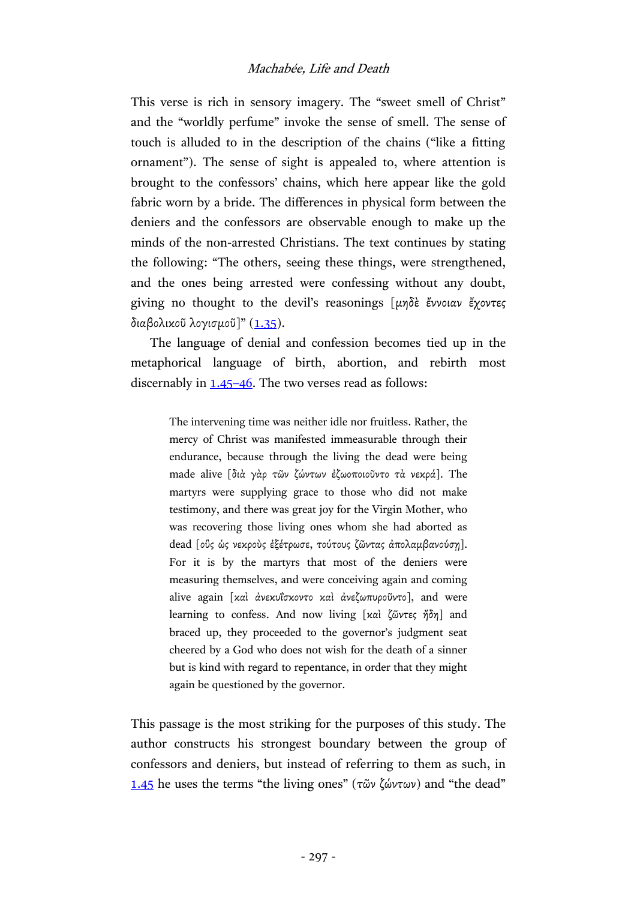This verse is rich in sensory imagery. The "sweet smell of Christ" and the "worldly perfume" invoke the sense of smell. The sense of touch is alluded to in the description of the chains ("like a fitting ornament"). The sense of sight is appealed to, where attention is brought to the confessors' chains, which here appear like the gold fabric worn by a bride. The differences in physical form between the deniers and the confessors are observable enough to make up the minds of the non-arrested Christians. The text continues by stating the following: "The others, seeing these things, were strengthened, and the ones being arrested were confessing without any doubt, giving no thought to the devil's reasonings [μηδὲ ἔννοιαν ἔχοντες διαβολικοῦ λογισμοῦ]"  $(1.35)$  $(1.35)$ .

The language of denial and confession becomes tied up in the metaphorical language of birth, abortion, and rebirth most discernably in  $1.45-46$ . The two verses read as follows:

> The intervening time was neither idle nor fruitless. Rather, the mercy of Christ was manifested immeasurable through their endurance, because through the living the dead were being made alive [διὰ γὰρ τῶν ζώντων ἐζωοποιοῦντο τὰ νεκρά]. The martyrs were supplying grace to those who did not make testimony, and there was great joy for the Virgin Mother, who was recovering those living ones whom she had aborted as dead [ούς ώς νεκρούς έξέτρωσε, τούτους ζῶντας ἀπολαμβανούση]. For it is by the martyrs that most of the deniers were measuring themselves, and were conceiving again and coming alive again [καὶ ἀνεκυΐσκοντο καὶ ἀνεζωπυροῦντο], and were learning to confess. And now living [καὶ ζῶντες ἤδη] and braced up, they proceeded to the governor's judgment seat cheered by a God who does not wish for the death of a sinner but is kind with regard to repentance, in order that they might again be questioned by the governor.

This passage is the most striking for the purposes of this study. The author constructs his strongest boundary between the group of confessors and deniers, but instead of referring to them as such, in [1.45](https://archive.org/stream/ecclesiasticalhi01euseuoft#page/428/mode/2up) he uses the terms "the living ones" (τῶν ζώντων) and "the dead"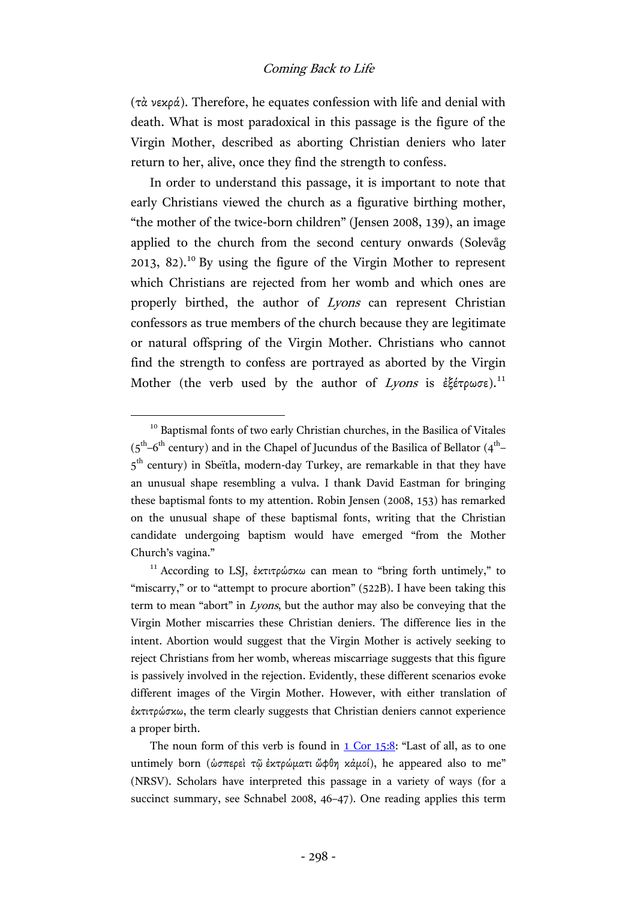(τὰ νεκρά). Therefore, he equates confession with life and denial with death. What is most paradoxical in this passage is the figure of the Virgin Mother, described as aborting Christian deniers who later return to her, alive, once they find the strength to confess.

In order to understand this passage, it is important to note that early Christians viewed the church as a figurative birthing mother, "the mother of the twice-born children" (Jensen 2008, 139), an image applied to the church from the second century onwards (Solevåg 2013, 82). <sup>10</sup> By using the figure of the Virgin Mother to represent which Christians are rejected from her womb and which ones are properly birthed, the author of Lyons can represent Christian confessors as true members of the church because they are legitimate or natural offspring of the Virgin Mother. Christians who cannot find the strength to confess are portrayed as aborted by the Virgin Mother (the verb used by the author of Lyons is ἐξέτρωσε).<sup>11</sup>

<sup>&</sup>lt;sup>10</sup> Baptismal fonts of two early Christian churches, in the Basilica of Vitales  $(5<sup>th</sup>-6<sup>th</sup>$  century) and in the Chapel of Jucundus of the Basilica of Bellator (4<sup>th</sup>-5<sup>th</sup> century) in Sbeïtla, modern-day Turkey, are remarkable in that they have an unusual shape resembling a vulva. I thank David Eastman for bringing these baptismal fonts to my attention. Robin Jensen (2008, 153) has remarked on the unusual shape of these baptismal fonts, writing that the Christian candidate undergoing baptism would have emerged "from the Mother Church's vagina."

<sup>&</sup>lt;sup>11</sup> According to LSJ, ἐκτιτρώσκω can mean to "bring forth untimely," to "miscarry," or to "attempt to procure abortion" (522B). I have been taking this term to mean "abort" in Lyons, but the author may also be conveying that the Virgin Mother miscarries these Christian deniers. The difference lies in the intent. Abortion would suggest that the Virgin Mother is actively seeking to reject Christians from her womb, whereas miscarriage suggests that this figure is passively involved in the rejection. Evidently, these different scenarios evoke different images of the Virgin Mother. However, with either translation of ἐκτιτρώσκω, the term clearly suggests that Christian deniers cannot experience a proper birth.

The noun form of this verb is found in  $1$  Cor  $15:8$ : "Last of all, as to one untimely born (ὡσπερεὶ τῷ ἐκτρώματι ὤφθη κἀμοί), he appeared also to me" (NRSV). Scholars have interpreted this passage in a variety of ways (for a succinct summary, see Schnabel 2008, 46–47). One reading applies this term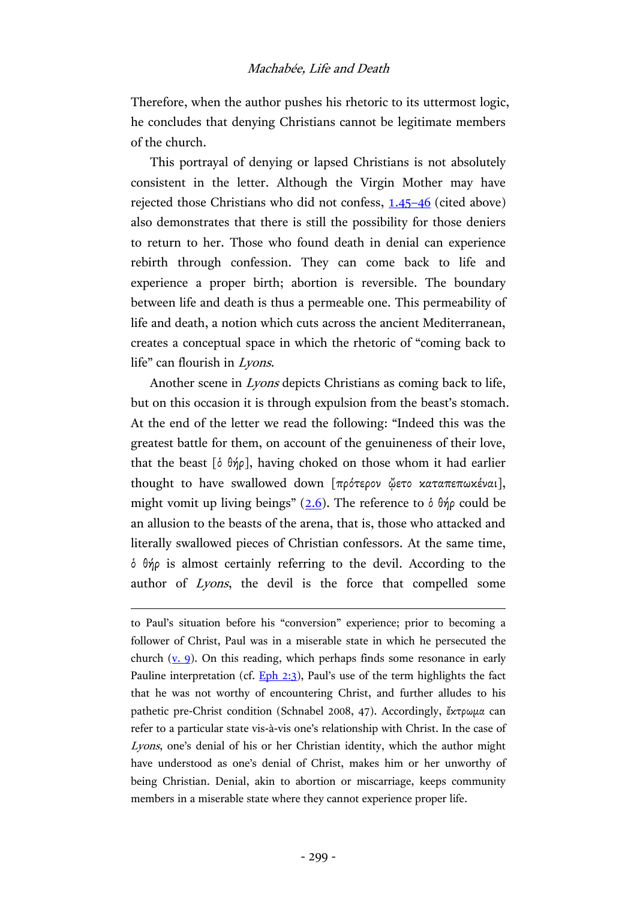Therefore, when the author pushes his rhetoric to its uttermost logic, he concludes that denying Christians cannot be legitimate members of the church.

This portrayal of denying or lapsed Christians is not absolutely consistent in the letter. Although the Virgin Mother may have rejected those Christians who did not confess, [1.45](https://archive.org/stream/ecclesiasticalhi01euseuoft#page/428/mode/2up)–46 (cited above) also demonstrates that there is still the possibility for those deniers to return to her. Those who found death in denial can experience rebirth through confession. They can come back to life and experience a proper birth; abortion is reversible. The boundary between life and death is thus a permeable one. This permeability of life and death, a notion which cuts across the ancient Mediterranean, creates a conceptual space in which the rhetoric of "coming back to life" can flourish in Lyons.

Another scene in Lyons depicts Christians as coming back to life, but on this occasion it is through expulsion from the beast's stomach. At the end of the letter we read the following: "Indeed this was the greatest battle for them, on account of the genuineness of their love, that the beast  $\delta \hat{\theta}$  ( $\delta \hat{\theta}$ ), having choked on those whom it had earlier thought to have swallowed down [πρότερον ὤετο καταπεπωκέναι], might vomit up living beings" ( $2.6$ ). The reference to  $\delta \theta \eta \rho$  could be an allusion to the beasts of the arena, that is, those who attacked and literally swallowed pieces of Christian confessors. At the same time, ὁ θήρ is almost certainly referring to the devil. According to the author of Lyons, the devil is the force that compelled some

to Paul's situation before his "conversion" experience; prior to becoming a follower of Christ, Paul was in a miserable state in which he persecuted the church  $(v, 9)$ . On this reading, which perhaps finds some resonance in early Pauline interpretation (cf.  $Eph\ 2:3$ ), Paul's use of the term highlights the fact that he was not worthy of encountering Christ, and further alludes to his pathetic pre-Christ condition (Schnabel 2008, 47). Accordingly, ἔκτρωμα can refer to a particular state vis-à-vis one's relationship with Christ. In the case of Lyons, one's denial of his or her Christian identity, which the author might have understood as one's denial of Christ, makes him or her unworthy of being Christian. Denial, akin to abortion or miscarriage, keeps community members in a miserable state where they cannot experience proper life.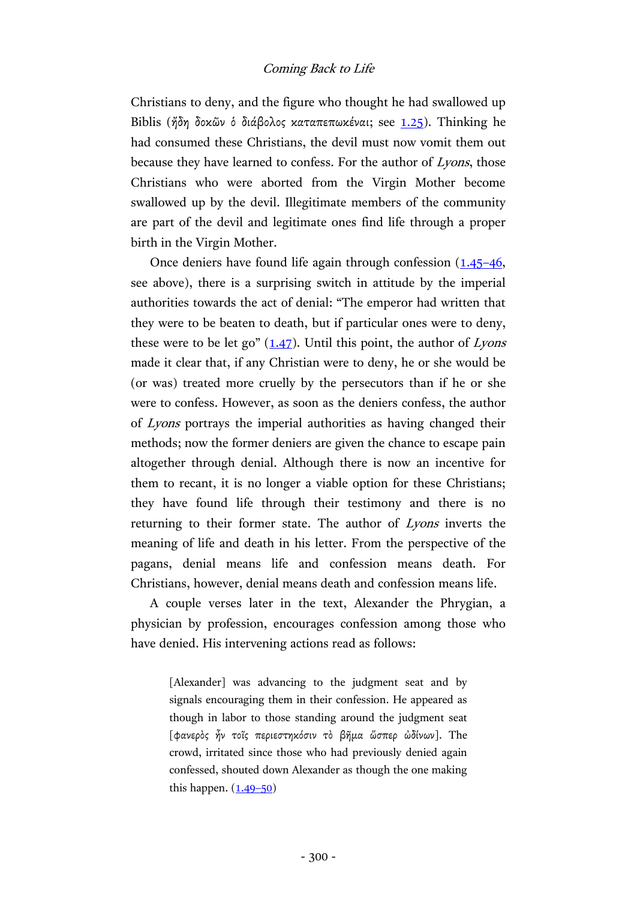Christians to deny, and the figure who thought he had swallowed up Biblis (ήδη δοκῶν ὁ διάβολος καταπεπωκέναι; see [1.25\)](https://archive.org/stream/ecclesiasticalhi01euseuoft#page/418/mode/2up). Thinking he had consumed these Christians, the devil must now vomit them out because they have learned to confess. For the author of Lyons, those Christians who were aborted from the Virgin Mother become swallowed up by the devil. Illegitimate members of the community are part of the devil and legitimate ones find life through a proper birth in the Virgin Mother.

Once deniers have found life again through confession [\(1.45](https://archive.org/stream/ecclesiasticalhi01euseuoft#page/428/mode/2up)–46, see above), there is a surprising switch in attitude by the imperial authorities towards the act of denial: "The emperor had written that they were to be beaten to death, but if particular ones were to deny, these were to be let go"  $(1.47)$ . Until this point, the author of Lyons made it clear that, if any Christian were to deny, he or she would be (or was) treated more cruelly by the persecutors than if he or she were to confess. However, as soon as the deniers confess, the author of Lyons portrays the imperial authorities as having changed their methods; now the former deniers are given the chance to escape pain altogether through denial. Although there is now an incentive for them to recant, it is no longer a viable option for these Christians; they have found life through their testimony and there is no returning to their former state. The author of Lyons inverts the meaning of life and death in his letter. From the perspective of the pagans, denial means life and confession means death. For Christians, however, denial means death and confession means life.

A couple verses later in the text, Alexander the Phrygian, a physician by profession, encourages confession among those who have denied. His intervening actions read as follows:

> [Alexander] was advancing to the judgment seat and by signals encouraging them in their confession. He appeared as though in labor to those standing around the judgment seat [φανερὸς ἦν τοῖς περιεστηκόσιν τὸ βῆμα ὥσπερ ὠδίνων]. The crowd, irritated since those who had previously denied again confessed, shouted down Alexander as though the one making this happen.  $(1.49-50)$  $(1.49-50)$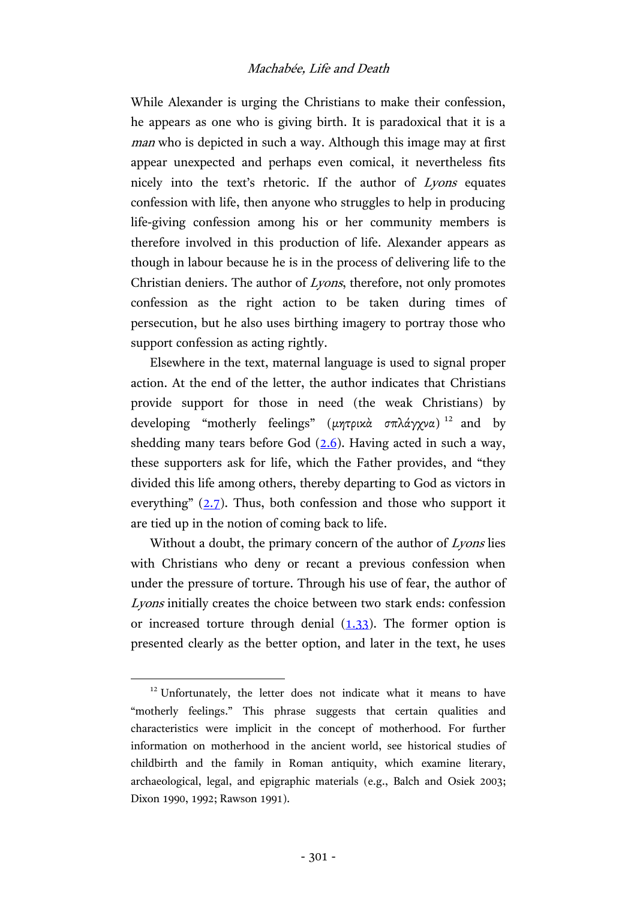While Alexander is urging the Christians to make their confession, he appears as one who is giving birth. It is paradoxical that it is a man who is depicted in such a way. Although this image may at first appear unexpected and perhaps even comical, it nevertheless fits nicely into the text's rhetoric. If the author of Lyons equates confession with life, then anyone who struggles to help in producing life-giving confession among his or her community members is therefore involved in this production of life. Alexander appears as though in labour because he is in the process of delivering life to the Christian deniers. The author of Lyons, therefore, not only promotes confession as the right action to be taken during times of persecution, but he also uses birthing imagery to portray those who support confession as acting rightly.

Elsewhere in the text, maternal language is used to signal proper action. At the end of the letter, the author indicates that Christians provide support for those in need (the weak Christians) by developing "motherly feelings" (μητρικά σπλάγχνα)<sup>12</sup> and by shedding many tears before God  $(2.6)$ . Having acted in such a way, these supporters ask for life, which the Father provides, and "they divided this life among others, thereby departing to God as victors in everything"  $(2.7)$  $(2.7)$ . Thus, both confession and those who support it are tied up in the notion of coming back to life.

Without a doubt, the primary concern of the author of Lyons lies with Christians who deny or recant a previous confession when under the pressure of torture. Through his use of fear, the author of Lyons initially creates the choice between two stark ends: confession or increased torture through denial  $(1.33)$ . The former option is presented clearly as the better option, and later in the text, he uses

<sup>&</sup>lt;sup>12</sup> Unfortunately, the letter does not indicate what it means to have "motherly feelings." This phrase suggests that certain qualities and characteristics were implicit in the concept of motherhood. For further information on motherhood in the ancient world, see historical studies of childbirth and the family in Roman antiquity, which examine literary, archaeological, legal, and epigraphic materials (e.g., Balch and Osiek 2003; Dixon 1990, 1992; Rawson 1991).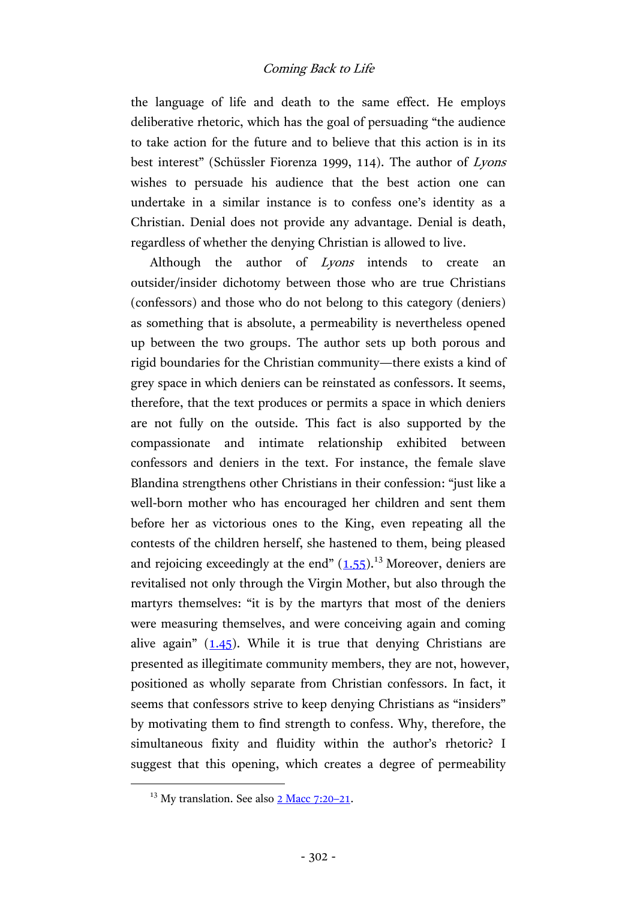the language of life and death to the same effect. He employs deliberative rhetoric, which has the goal of persuading "the audience to take action for the future and to believe that this action is in its best interest" (Schüssler Fiorenza 1999, 114). The author of Lyons wishes to persuade his audience that the best action one can undertake in a similar instance is to confess one's identity as a Christian. Denial does not provide any advantage. Denial is death, regardless of whether the denying Christian is allowed to live.

Although the author of *Lyons* intends to create an outsider/insider dichotomy between those who are true Christians (confessors) and those who do not belong to this category (deniers) as something that is absolute, a permeability is nevertheless opened up between the two groups. The author sets up both porous and rigid boundaries for the Christian community—there exists a kind of grey space in which deniers can be reinstated as confessors. It seems, therefore, that the text produces or permits a space in which deniers are not fully on the outside. This fact is also supported by the compassionate and intimate relationship exhibited between confessors and deniers in the text. For instance, the female slave Blandina strengthens other Christians in their confession: "just like a well-born mother who has encouraged her children and sent them before her as victorious ones to the King, even repeating all the contests of the children herself, she hastened to them, being pleased and rejoicing exceedingly at the end"  $(1.55)$  $(1.55)$ .<sup>13</sup> Moreover, deniers are revitalised not only through the Virgin Mother, but also through the martyrs themselves: "it is by the martyrs that most of the deniers were measuring themselves, and were conceiving again and coming alive again"  $(1.45)$  $(1.45)$ . While it is true that denying Christians are presented as illegitimate community members, they are not, however, positioned as wholly separate from Christian confessors. In fact, it seems that confessors strive to keep denying Christians as "insiders" by motivating them to find strength to confess. Why, therefore, the simultaneous fixity and fluidity within the author's rhetoric? I suggest that this opening, which creates a degree of permeability

<sup>&</sup>lt;sup>13</sup> My translation. See also [2 Macc](http://www.academic-bible.com/bible-text/2Maccabees7.20-21/lxx/) 7:20-21.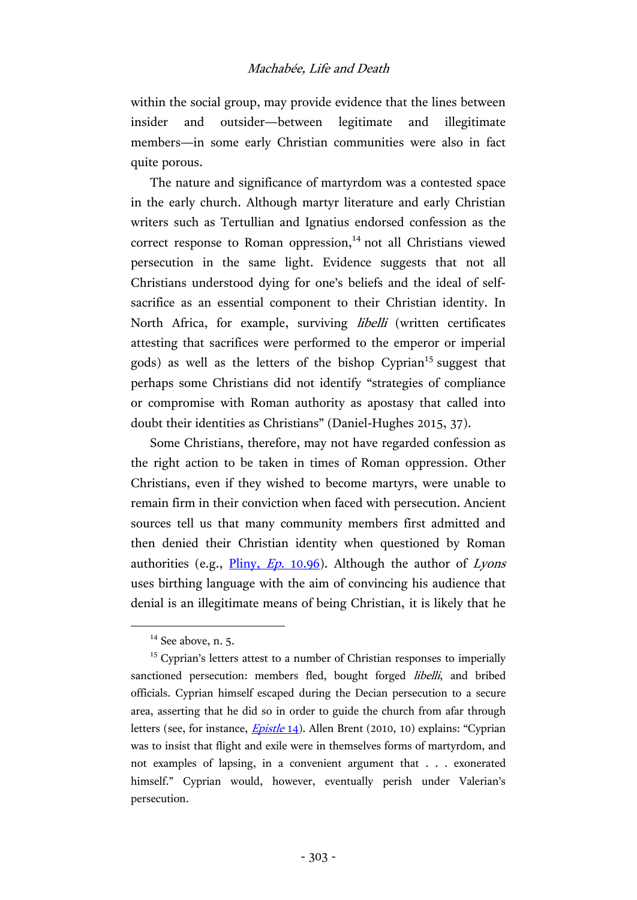#### Machabée, Life and Death

within the social group, may provide evidence that the lines between insider and outsider—between legitimate and illegitimate members—in some early Christian communities were also in fact quite porous.

The nature and significance of martyrdom was a contested space in the early church. Although martyr literature and early Christian writers such as Tertullian and Ignatius endorsed confession as the correct response to Roman oppression, $14$  not all Christians viewed persecution in the same light. Evidence suggests that not all Christians understood dying for one's beliefs and the ideal of selfsacrifice as an essential component to their Christian identity. In North Africa, for example, surviving libelli (written certificates attesting that sacrifices were performed to the emperor or imperial gods) as well as the letters of the bishop Cyprian<sup>15</sup> suggest that perhaps some Christians did not identify "strategies of compliance or compromise with Roman authority as apostasy that called into doubt their identities as Christians" (Daniel-Hughes 2015, 37).

Some Christians, therefore, may not have regarded confession as the right action to be taken in times of Roman oppression. Other Christians, even if they wished to become martyrs, were unable to remain firm in their conviction when faced with persecution. Ancient sources tell us that many community members first admitted and then denied their Christian identity when questioned by Roman authorities (e.g.,  $\frac{Pliny}{Ep}$ , 10.96). Although the author of Lyons uses birthing language with the aim of convincing his audience that denial is an illegitimate means of being Christian, it is likely that he

 $14$  See above, n. 5.

 $15$  Cyprian's letters attest to a number of Christian responses to imperially sanctioned persecution: members fled, bought forged libelli, and bribed officials. Cyprian himself escaped during the Decian persecution to a secure area, asserting that he did so in order to guide the church from afar through letters (see, for instance, *Epistle* 14). Allen Brent (2010, 10) explains: "Cyprian was to insist that flight and exile were in themselves forms of martyrdom, and not examples of lapsing, in a convenient argument that . . . exonerated himself." Cyprian would, however, eventually perish under Valerian's persecution.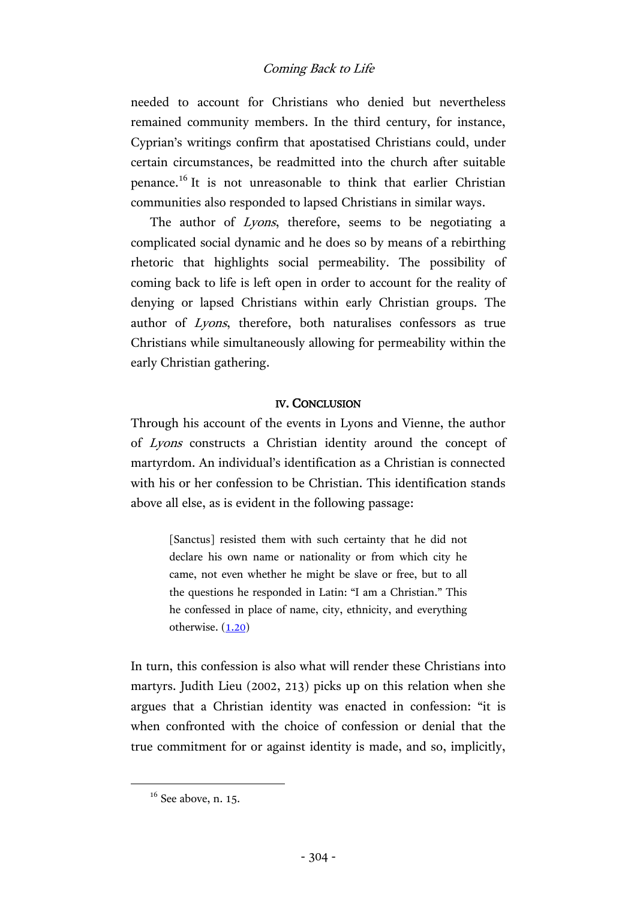needed to account for Christians who denied but nevertheless remained community members. In the third century, for instance, Cyprian's writings confirm that apostatised Christians could, under certain circumstances, be readmitted into the church after suitable penance.<sup>16</sup> It is not unreasonable to think that earlier Christian communities also responded to lapsed Christians in similar ways.

The author of *Lyons*, therefore, seems to be negotiating a complicated social dynamic and he does so by means of a rebirthing rhetoric that highlights social permeability. The possibility of coming back to life is left open in order to account for the reality of denying or lapsed Christians within early Christian groups. The author of Lyons, therefore, both naturalises confessors as true Christians while simultaneously allowing for permeability within the early Christian gathering.

#### IV. CONCLUSION

Through his account of the events in Lyons and Vienne, the author of Lyons constructs a Christian identity around the concept of martyrdom. An individual's identification as a Christian is connected with his or her confession to be Christian. This identification stands above all else, as is evident in the following passage:

> [Sanctus] resisted them with such certainty that he did not declare his own name or nationality or from which city he came, not even whether he might be slave or free, but to all the questions he responded in Latin: "I am a Christian." This he confessed in place of name, city, ethnicity, and everything otherwise. [\(1.20\)](https://archive.org/stream/ecclesiasticalhi01euseuoft#page/416/mode/2up)

In turn, this confession is also what will render these Christians into martyrs. Judith Lieu (2002, 213) picks up on this relation when she argues that a Christian identity was enacted in confession: "it is when confronted with the choice of confession or denial that the true commitment for or against identity is made, and so, implicitly,

 $16$  See above, n. 15.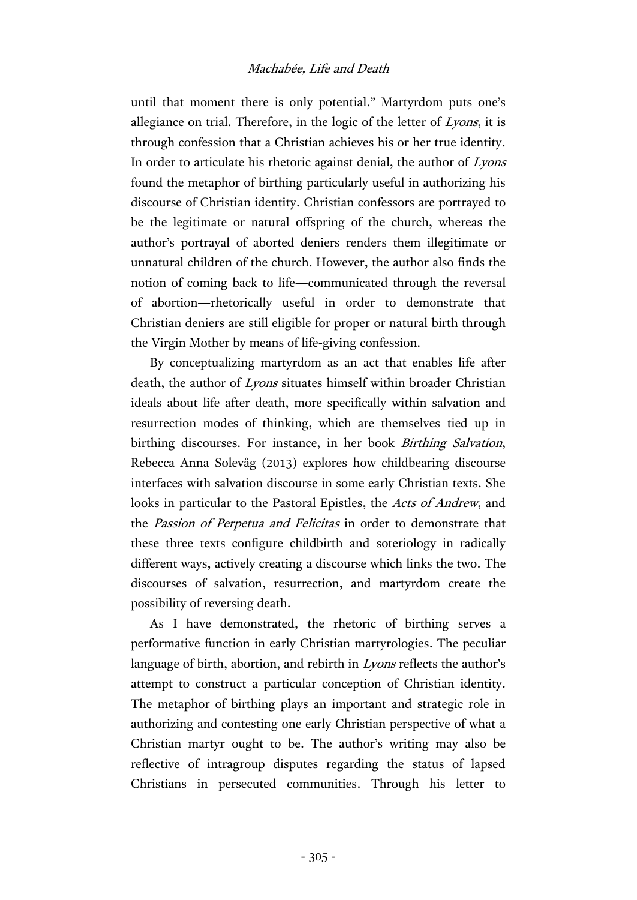# Machabée, Life and Death

until that moment there is only potential." Martyrdom puts one's allegiance on trial. Therefore, in the logic of the letter of Lyons, it is through confession that a Christian achieves his or her true identity. In order to articulate his rhetoric against denial, the author of Lyons found the metaphor of birthing particularly useful in authorizing his discourse of Christian identity. Christian confessors are portrayed to be the legitimate or natural offspring of the church, whereas the author's portrayal of aborted deniers renders them illegitimate or unnatural children of the church. However, the author also finds the notion of coming back to life—communicated through the reversal of abortion—rhetorically useful in order to demonstrate that Christian deniers are still eligible for proper or natural birth through the Virgin Mother by means of life-giving confession.

By conceptualizing martyrdom as an act that enables life after death, the author of Lyons situates himself within broader Christian ideals about life after death, more specifically within salvation and resurrection modes of thinking, which are themselves tied up in birthing discourses. For instance, in her book Birthing Salvation, Rebecca Anna Solevåg (2013) explores how childbearing discourse interfaces with salvation discourse in some early Christian texts. She looks in particular to the Pastoral Epistles, the Acts of Andrew, and the Passion of Perpetua and Felicitas in order to demonstrate that these three texts configure childbirth and soteriology in radically different ways, actively creating a discourse which links the two. The discourses of salvation, resurrection, and martyrdom create the possibility of reversing death.

As I have demonstrated, the rhetoric of birthing serves a performative function in early Christian martyrologies. The peculiar language of birth, abortion, and rebirth in *Lyons* reflects the author's attempt to construct a particular conception of Christian identity. The metaphor of birthing plays an important and strategic role in authorizing and contesting one early Christian perspective of what a Christian martyr ought to be. The author's writing may also be reflective of intragroup disputes regarding the status of lapsed Christians in persecuted communities. Through his letter to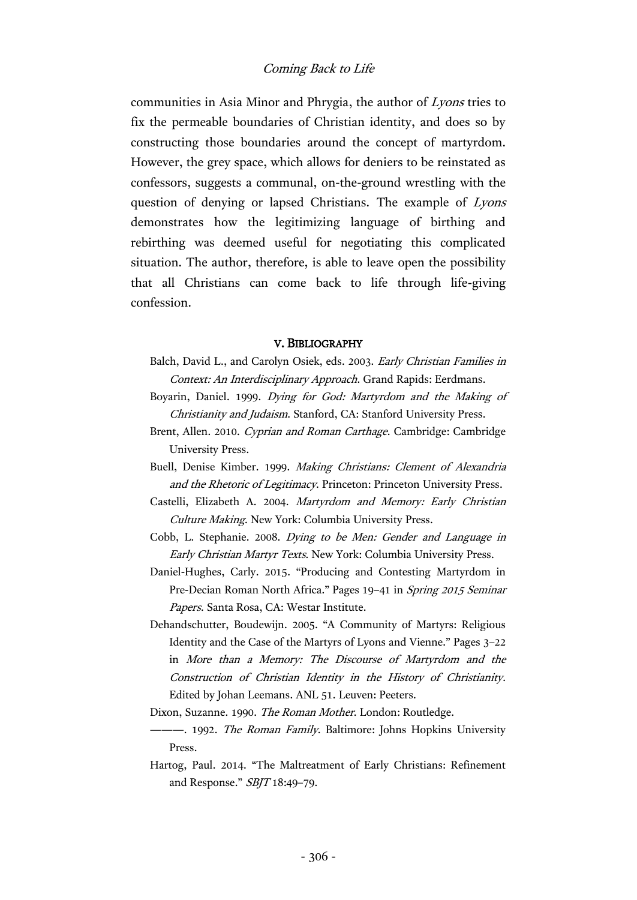communities in Asia Minor and Phrygia, the author of Lyons tries to fix the permeable boundaries of Christian identity, and does so by constructing those boundaries around the concept of martyrdom. However, the grey space, which allows for deniers to be reinstated as confessors, suggests a communal, on-the-ground wrestling with the question of denying or lapsed Christians. The example of Lyons demonstrates how the legitimizing language of birthing and rebirthing was deemed useful for negotiating this complicated situation. The author, therefore, is able to leave open the possibility that all Christians can come back to life through life-giving confession.

#### V. BIBLIOGRAPHY

- Balch, David L., and Carolyn Osiek, eds. 2003. Early Christian Families in Context: An Interdisciplinary Approach. Grand Rapids: Eerdmans.
- Boyarin, Daniel. 1999. Dying for God: Martyrdom and the Making of Christianity and Judaism. Stanford, CA: Stanford University Press.
- Brent, Allen. 2010. Cyprian and Roman Carthage. Cambridge: Cambridge University Press.
- Buell, Denise Kimber. 1999. Making Christians: Clement of Alexandria and the Rhetoric of Legitimacy. Princeton: Princeton University Press.
- Castelli, Elizabeth A. 2004. Martyrdom and Memory: Early Christian Culture Making. New York: Columbia University Press.
- Cobb, L. Stephanie. 2008. Dying to be Men: Gender and Language in Early Christian Martyr Texts. New York: Columbia University Press.
- Daniel-Hughes, Carly. 2015. "Producing and Contesting Martyrdom in Pre-Decian Roman North Africa." Pages 19–41 in Spring 2015 Seminar Papers. Santa Rosa, CA: Westar Institute.
- Dehandschutter, Boudewijn. 2005. "A Community of Martyrs: Religious Identity and the Case of the Martyrs of Lyons and Vienne." Pages 3–22 in More than a Memory: The Discourse of Martyrdom and the Construction of Christian Identity in the History of Christianity. Edited by Johan Leemans. ANL 51. Leuven: Peeters.
- Dixon, Suzanne. 1990. The Roman Mother. London: Routledge.
- --- 1992. The Roman Family. Baltimore: Johns Hopkins University Press.
- Hartog, Paul. 2014. "The Maltreatment of Early Christians: Refinement and Response." SBJT 18:49–79.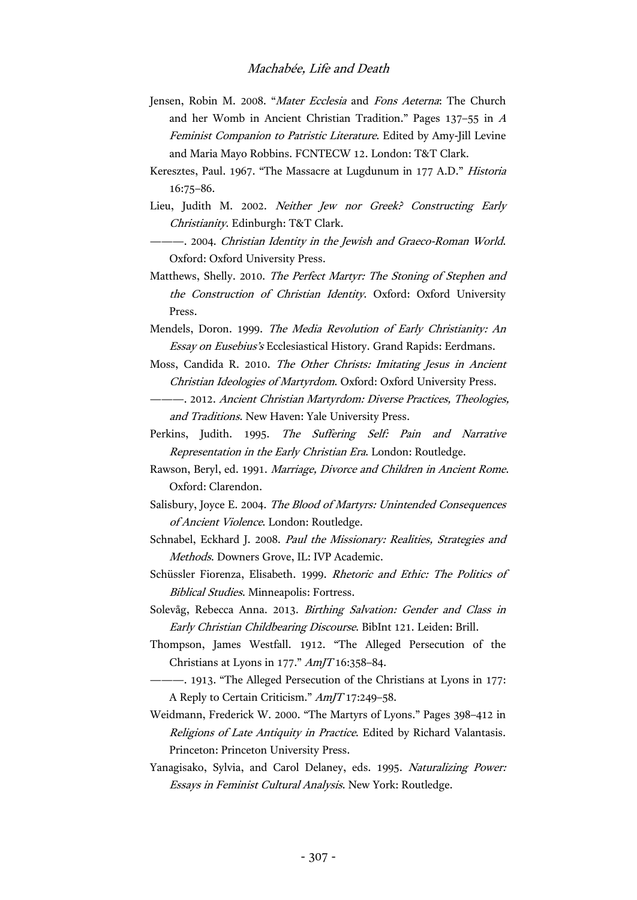- Jensen, Robin M. 2008. "Mater Ecclesia and Fons Aeterna: The Church and her Womb in Ancient Christian Tradition." Pages 137–55 in <sup>A</sup> Feminist Companion to Patristic Literature. Edited by Amy-Jill Levine and Maria Mayo Robbins. FCNTECW 12. London: T&T Clark.
- Keresztes, Paul. 1967. "The Massacre at Lugdunum in 177 A.D." Historia 16:75–86.
- Lieu, Judith M. 2002. Neither Jew nor Greek? Constructing Early Christianity. Edinburgh: T&T Clark.
	- -- 2004. Christian Identity in the Jewish and Graeco-Roman World. Oxford: Oxford University Press.
- Matthews, Shelly. 2010. The Perfect Martyr: The Stoning of Stephen and the Construction of Christian Identity. Oxford: Oxford University Press.
- Mendels, Doron. 1999. The Media Revolution of Early Christianity: An Essay on Eusebius's Ecclesiastical History. Grand Rapids: Eerdmans.
- Moss, Candida R. 2010. The Other Christs: Imitating Jesus in Ancient Christian Ideologies of Martyrdom. Oxford: Oxford University Press.
- ———. 2012. Ancient Christian Martyrdom: Diverse Practices, Theologies, and Traditions. New Haven: Yale University Press.
- Perkins, Judith. 1995. The Suffering Self: Pain and Narrative Representation in the Early Christian Era. London: Routledge.
- Rawson, Beryl, ed. 1991. Marriage, Divorce and Children in Ancient Rome. Oxford: Clarendon.
- Salisbury, Joyce E. 2004. The Blood of Martyrs: Unintended Consequences of Ancient Violence. London: Routledge.
- Schnabel, Eckhard J. 2008. Paul the Missionary: Realities, Strategies and Methods. Downers Grove, IL: IVP Academic.
- Schüssler Fiorenza, Elisabeth. 1999. Rhetoric and Ethic: The Politics of Biblical Studies. Minneapolis: Fortress.
- Solevåg, Rebecca Anna. 2013. Birthing Salvation: Gender and Class in Early Christian Childbearing Discourse. BibInt 121. Leiden: Brill.
- Thompson, James Westfall. 1912. "The Alleged Persecution of the Christians at Lyons in 177." AmJT 16:358–84.
- ———. 1913. "The Alleged Persecution of the Christians at Lyons in 177: A Reply to Certain Criticism." AmJT 17:249–58.
- Weidmann, Frederick W. 2000. "The Martyrs of Lyons." Pages 398–412 in Religions of Late Antiquity in Practice. Edited by Richard Valantasis. Princeton: Princeton University Press.
- Yanagisako, Sylvia, and Carol Delaney, eds. 1995. Naturalizing Power: Essays in Feminist Cultural Analysis. New York: Routledge.